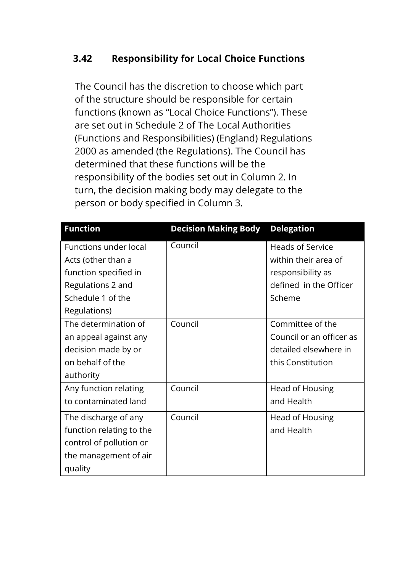## **3.42 Responsibility for Local Choice Functions**

The Council has the discretion to choose which part of the structure should be responsible for certain functions (known as "Local Choice Functions"). These are set out in Schedule 2 of The Local Authorities (Functions and Responsibilities) (England) Regulations 2000 as amended (the Regulations). The Council has determined that these functions will be the responsibility of the bodies set out in Column 2. In turn, the decision making body may delegate to the person or body specified in Column 3.

| <b>Function</b>              | <b>Decision Making Body</b> | <b>Delegation</b>        |
|------------------------------|-----------------------------|--------------------------|
| <b>Functions under local</b> | Council                     | <b>Heads of Service</b>  |
| Acts (other than a           |                             | within their area of     |
| function specified in        |                             | responsibility as        |
| Regulations 2 and            |                             | defined in the Officer   |
| Schedule 1 of the            |                             | Scheme                   |
| Regulations)                 |                             |                          |
| The determination of         | Council                     | Committee of the         |
| an appeal against any        |                             | Council or an officer as |
| decision made by or          |                             | detailed elsewhere in    |
| on behalf of the             |                             | this Constitution        |
| authority                    |                             |                          |
| Any function relating        | Council                     | Head of Housing          |
| to contaminated land         |                             | and Health               |
| The discharge of any         | Council                     | Head of Housing          |
| function relating to the     |                             | and Health               |
| control of pollution or      |                             |                          |
| the management of air        |                             |                          |
| quality                      |                             |                          |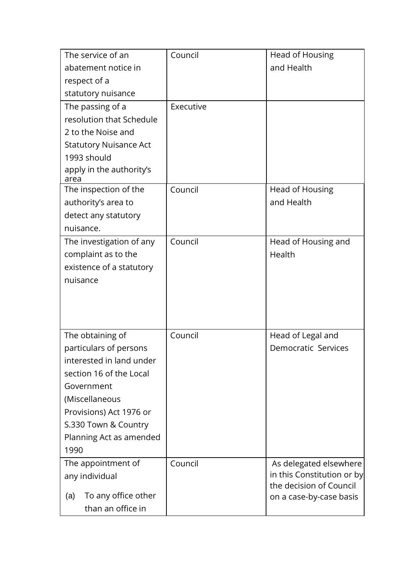| The service of an                               | Council   | Head of Housing            |
|-------------------------------------------------|-----------|----------------------------|
| abatement notice in                             |           | and Health                 |
| respect of a                                    |           |                            |
| statutory nuisance                              |           |                            |
| The passing of a                                | Executive |                            |
| resolution that Schedule                        |           |                            |
| 2 to the Noise and                              |           |                            |
| <b>Statutory Nuisance Act</b>                   |           |                            |
| 1993 should                                     |           |                            |
| apply in the authority's<br>area                |           |                            |
| The inspection of the                           | Council   | Head of Housing            |
| authority's area to                             |           | and Health                 |
| detect any statutory                            |           |                            |
| nuisance.                                       |           |                            |
| The investigation of any                        | Council   | Head of Housing and        |
| complaint as to the                             |           | Health                     |
| existence of a statutory                        |           |                            |
| nuisance                                        |           |                            |
|                                                 |           |                            |
|                                                 |           |                            |
|                                                 |           |                            |
| The obtaining of                                | Council   | Head of Legal and          |
| particulars of persons                          |           | <b>Democratic Services</b> |
| interested in land under                        |           |                            |
| section 16 of the Local                         |           |                            |
| Government                                      |           |                            |
| (Miscellaneous                                  |           |                            |
| Provisions) Act 1976 or                         |           |                            |
| S.330 Town & Country                            |           |                            |
| Planning Act as amended                         |           |                            |
| 1990                                            |           |                            |
| The appointment of                              | Council   | As delegated elsewhere     |
| any individual                                  |           | in this Constitution or by |
|                                                 |           | the decision of Council    |
| To any office other<br>(a)<br>than an office in |           | on a case-by-case basis    |
|                                                 |           |                            |